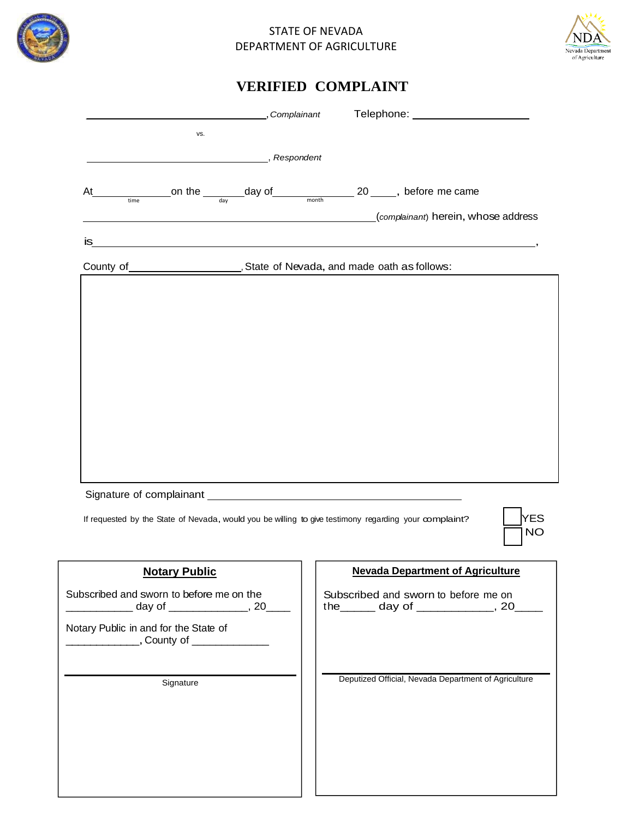

## STATE OF NEVADA DEPARTMENT OF AGRICULTURE



|                                                                                                       | Complainant Telephone: 1997 - Telephone Manuscriptin Manuscriptin Manuscriptin Manuscriptin Manuscriptin Manus |                         |
|-------------------------------------------------------------------------------------------------------|----------------------------------------------------------------------------------------------------------------|-------------------------|
| VS.                                                                                                   |                                                                                                                |                         |
| Respondent (Respondent                                                                                |                                                                                                                |                         |
| At                                                                                                    |                                                                                                                |                         |
| on the $\frac{1}{\frac{1}{\text{time}}}$ day of $\frac{1}{\text{month}}$ 20 _____, before me came     |                                                                                                                |                         |
| <u> 1980 - Johann Barn, fransk politik (f. 1980)</u>                                                  | (complainant) herein, whose address                                                                            |                         |
| is<br><u> 1989 - Johann Stoff, amerikansk politiker (d. 1989)</u>                                     |                                                                                                                |                         |
|                                                                                                       |                                                                                                                |                         |
|                                                                                                       |                                                                                                                |                         |
|                                                                                                       |                                                                                                                |                         |
|                                                                                                       |                                                                                                                |                         |
|                                                                                                       |                                                                                                                |                         |
|                                                                                                       |                                                                                                                |                         |
|                                                                                                       |                                                                                                                |                         |
|                                                                                                       |                                                                                                                |                         |
|                                                                                                       |                                                                                                                |                         |
|                                                                                                       |                                                                                                                |                         |
|                                                                                                       |                                                                                                                |                         |
|                                                                                                       |                                                                                                                |                         |
|                                                                                                       |                                                                                                                |                         |
|                                                                                                       |                                                                                                                |                         |
| Signature of complainant example and the state of complainant                                         |                                                                                                                |                         |
|                                                                                                       |                                                                                                                |                         |
| If requested by the State of Nevada, would you be willing to give testimony regarding your complaint? |                                                                                                                | <b>YES</b><br><b>NO</b> |
| <b>Notary Public</b>                                                                                  | <b>Nevada Department of Agriculture</b>                                                                        |                         |
| Subscribed and sworn to before me on the                                                              | Subscribed and sworn to before me on                                                                           |                         |
| ________ day of ______________, 20____                                                                | the _______ day of _______________, 20___                                                                      |                         |
|                                                                                                       |                                                                                                                |                         |
| Notary Public in and for the State of<br>__________________, County of _________________              |                                                                                                                |                         |
|                                                                                                       |                                                                                                                |                         |
|                                                                                                       |                                                                                                                |                         |
| Signature                                                                                             | Deputized Official, Nevada Department of Agriculture                                                           |                         |
|                                                                                                       |                                                                                                                |                         |
|                                                                                                       |                                                                                                                |                         |
|                                                                                                       |                                                                                                                |                         |
|                                                                                                       |                                                                                                                |                         |
|                                                                                                       |                                                                                                                |                         |